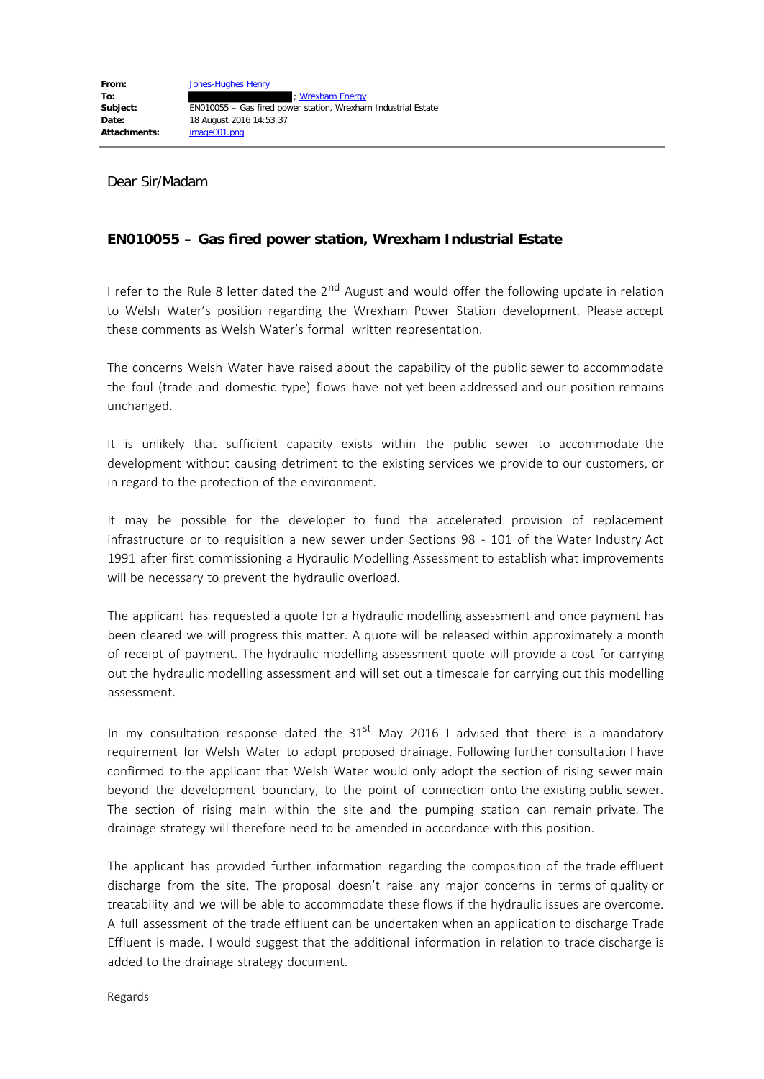Dear Sir/Madam

## **EN010055 – Gas fired power station, Wrexham Industrial Estate**

I refer to the Rule 8 letter dated the 2<sup>nd</sup> August and would offer the following update in relation to Welsh Water's position regarding the Wrexham Power Station development. Please accept these comments as Welsh Water's formal written representation.

The concerns Welsh Water have raised about the capability of the public sewer to accommodate the foul (trade and domestic type) flows have not yet been addressed and our position remains unchanged.

It is unlikely that sufficient capacity exists within the public sewer to accommodate the development without causing detriment to the existing services we provide to our customers, or in regard to the protection of the environment.

It may be possible for the developer to fund the accelerated provision of replacement infrastructure or to requisition a new sewer under Sections 98 - 101 of the Water Industry Act 1991 after first commissioning a Hydraulic Modelling Assessment to establish what improvements will be necessary to prevent the hydraulic overload.

The applicant has requested a quote for a hydraulic modelling assessment and once payment has been cleared we will progress this matter. A quote will be released within approximately a month of receipt of payment. The hydraulic modelling assessment quote will provide a cost for carrying out the hydraulic modelling assessment and will set out a timescale for carrying out this modelling assessment.

In my consultation response dated the  $31<sup>st</sup>$  May 2016 I advised that there is a mandatory requirement for Welsh Water to adopt proposed drainage. Following further consultation I have confirmed to the applicant that Welsh Water would only adopt the section of rising sewer main beyond the development boundary, to the point of connection onto the existing public sewer. The section of rising main within the site and the pumping station can remain private. The drainage strategy will therefore need to be amended in accordance with this position.

The applicant has provided further information regarding the composition of the trade effluent discharge from the site. The proposal doesn't raise any major concerns in terms of quality or treatability and we will be able to accommodate these flows if the hydraulic issues are overcome. A full assessment of the trade effluent can be undertaken when an application to discharge Trade Effluent is made. I would suggest that the additional information in relation to trade discharge is added to the drainage strategy document.

Regards